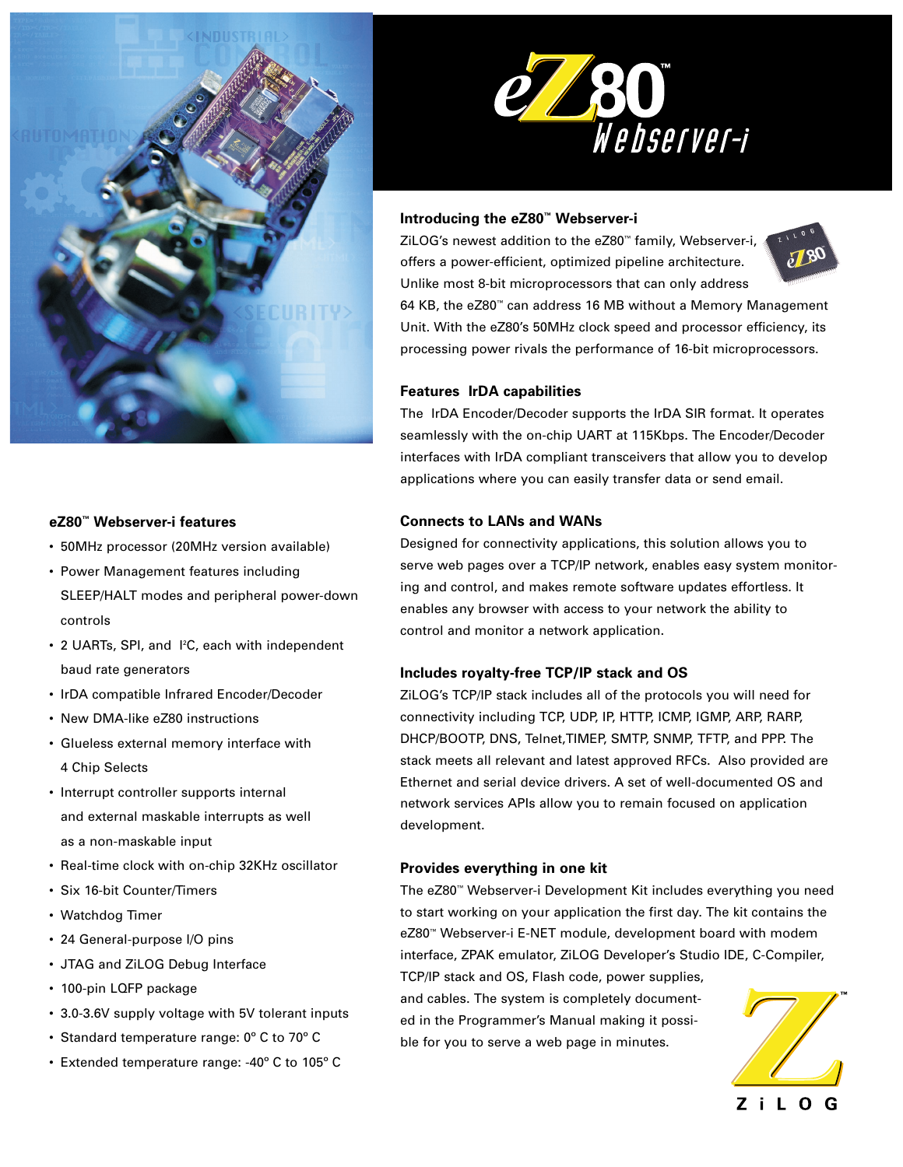

# **eZ80™ Webserver-i features**

- 50MHz processor (20MHz version available)
- Power Management features including SLEEP/HALT modes and peripheral power-down controls
- 2 UARTs, SPI, and I<sup>2</sup>C, each with independent baud rate generators
- IrDA compatible Infrared Encoder/Decoder
- New DMA-like eZ80 instructions
- Glueless external memory interface with 4 Chip Selects
- Interrupt controller supports internal and external maskable interrupts as well as a non-maskable input
- Real-time clock with on-chip 32KHz oscillator
- Six 16-bit Counter/Timers
- Watchdog Timer
- 24 General-purpose I/O pins
- JTAG and ZiLOG Debug Interface
- 100-pin LQFP package
- 3.0-3.6V supply voltage with 5V tolerant inputs
- Standard temperature range: 0º C to 70º C
- Extended temperature range: -40º C to 105º C



## **Introducing the eZ80™ Webserver-i**

ZiLOG's newest addition to the eZ80™ family, Webserver-i, offers a power-efficient, optimized pipeline architecture. Unlike most 8-bit microprocessors that can only address



64 KB, the eZ80™ can address 16 MB without a Memory Management Unit. With the eZ80's 50MHz clock speed and processor efficiency, its processing power rivals the performance of 16-bit microprocessors.

## **Features IrDA capabilities**

The IrDA Encoder/Decoder supports the IrDA SIR format. It operates seamlessly with the on-chip UART at 115Kbps. The Encoder/Decoder interfaces with IrDA compliant transceivers that allow you to develop applications where you can easily transfer data or send email.

#### **Connects to LANs and WANs**

Designed for connectivity applications, this solution allows you to serve web pages over a TCP/IP network, enables easy system monitoring and control, and makes remote software updates effortless. It enables any browser with access to your network the ability to control and monitor a network application.

### **Includes royalty-free TCP/IP stack and OS**

ZiLOG's TCP/IP stack includes all of the protocols you will need for connectivity including TCP, UDP, IP, HTTP, ICMP, IGMP, ARP, RARP, DHCP/BOOTP, DNS, Telnet,TIMEP, SMTP, SNMP, TFTP, and PPP. The stack meets all relevant and latest approved RFCs. Also provided are Ethernet and serial device drivers. A set of well-documented OS and network services APIs allow you to remain focused on application development.

### **Provides everything in one kit**

The eZ80™ Webserver-i Development Kit includes everything you need to start working on your application the first day. The kit contains the eZ80™ Webserver-i E-NET module, development board with modem interface, ZPAK emulator, ZiLOG Developer's Studio IDE, C-Compiler,

TCP/IP stack and OS, Flash code, power supplies, and cables. The system is completely documented in the Programmer's Manual making it possible for you to serve a web page in minutes.